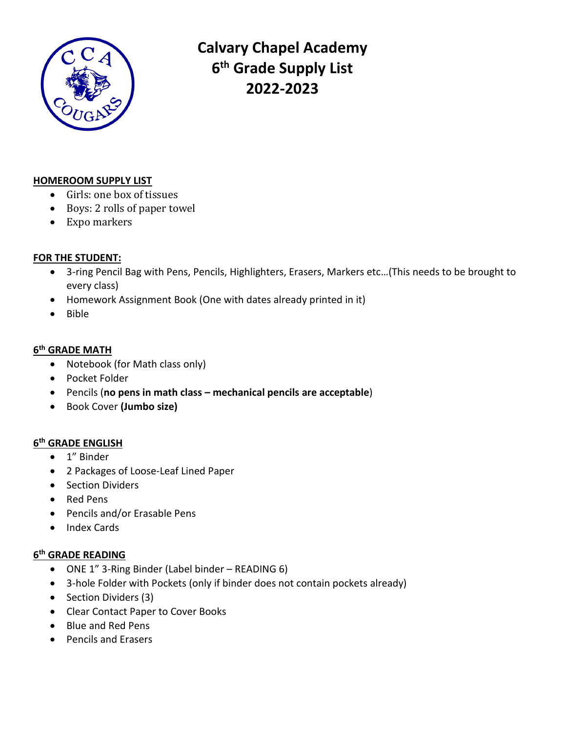

**Calvary Chapel Academy 6 th Grade Supply List 2022-2023**

#### **HOMEROOM SUPPLY LIST**

- Girls: one box of tissues
- Boys: 2 rolls of paper towel
- Expo markers

#### **FOR THE STUDENT:**

- 3-ring Pencil Bag with Pens, Pencils, Highlighters, Erasers, Markers etc…(This needs to be brought to every class)
- Homework Assignment Book (One with dates already printed in it)
- Bible

## **6 th GRADE MATH**

- Notebook (for Math class only)
- Pocket Folder
- Pencils (**no pens in math class – mechanical pencils are acceptable**)
- Book Cover **(Jumbo size)**

# **6 th GRADE ENGLISH**

- 1" Binder
- 2 Packages of Loose-Leaf Lined Paper
- Section Dividers
- Red Pens
- Pencils and/or Erasable Pens
- Index Cards

# **6 th GRADE READING**

- ONE 1" 3-Ring Binder (Label binder READING 6)
- 3-hole Folder with Pockets (only if binder does not contain pockets already)
- Section Dividers (3)
- Clear Contact Paper to Cover Books
- Blue and Red Pens
- Pencils and Erasers